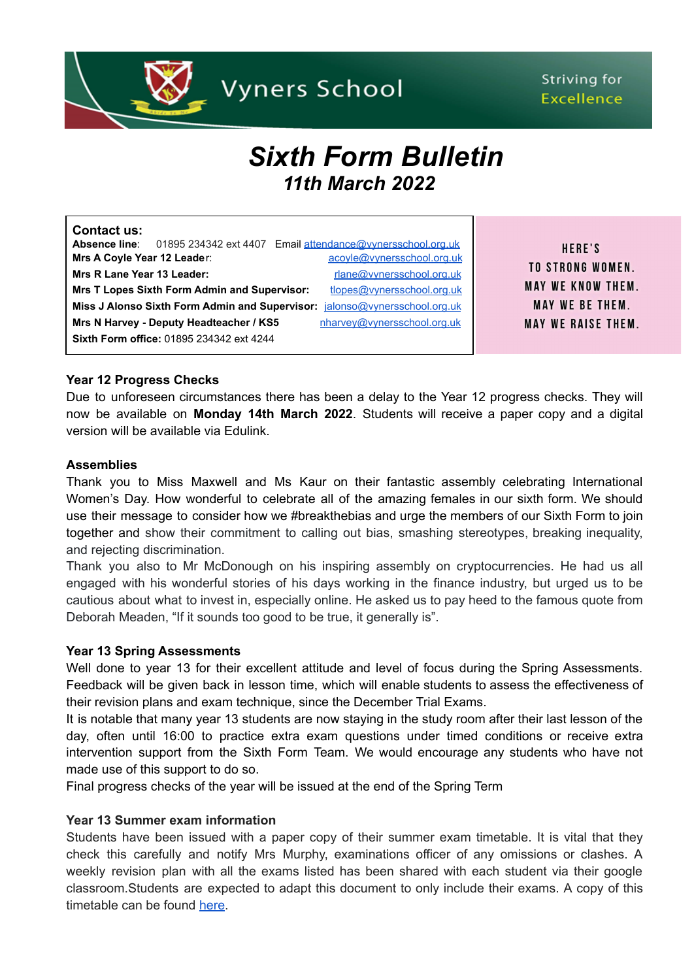

# Striving for **Excellence**

# *Sixth Form Bulletin 11th March 2022*

| Contact us:                                                                   |                                                     |  |                                                            |
|-------------------------------------------------------------------------------|-----------------------------------------------------|--|------------------------------------------------------------|
| Absence line:                                                                 |                                                     |  | 01895 234342 ext 4407 Email attendance@vvnersschool.org.uk |
| Mrs A Coyle Year 12 Leader:                                                   |                                                     |  | acoyle@vynersschool.org.uk                                 |
| Mrs R Lane Year 13 Leader:                                                    |                                                     |  | rlane@vynersschool.org.uk                                  |
|                                                                               | <b>Mrs T Lopes Sixth Form Admin and Supervisor:</b> |  | tlopes@vynersschool.org.uk                                 |
| Miss J Alonso Sixth Form Admin and Supervisor:<br>jalonso@vynersschool.org.uk |                                                     |  |                                                            |
|                                                                               | Mrs N Harvey - Deputy Headteacher / KS5             |  | nharvey@vynersschool.org.uk                                |
|                                                                               | Sixth Form office: 01895 234342 ext 4244            |  |                                                            |

HERE'S **TO STRONG WOMEN. MAY WE KNOW THEM. MAY WE BE THEM. MAY WE RAISE THEM.** 

# **Year 12 Progress Checks**

Due to unforeseen circumstances there has been a delay to the Year 12 progress checks. They will now be available on **Monday 14th March 2022**. Students will receive a paper copy and a digital version will be available via Edulink.

#### **Assemblies**

Thank you to Miss Maxwell and Ms Kaur on their fantastic assembly celebrating International Women's Day. How wonderful to celebrate all of the amazing females in our sixth form. We should use their message to consider how we #breakthebias and urge the members of our Sixth Form to join together and show their commitment to calling out bias, smashing stereotypes, breaking inequality, and rejecting discrimination.

Thank you also to Mr McDonough on his inspiring assembly on cryptocurrencies. He had us all engaged with his wonderful stories of his days working in the finance industry, but urged us to be cautious about what to invest in, especially online. He asked us to pay heed to the famous quote from Deborah Meaden, "If it sounds too good to be true, it generally is".

### **Year 13 Spring Assessments**

Well done to year 13 for their excellent attitude and level of focus during the Spring Assessments. Feedback will be given back in lesson time, which will enable students to assess the effectiveness of their revision plans and exam technique, since the December Trial Exams.

It is notable that many year 13 students are now staying in the study room after their last lesson of the day, often until 16:00 to practice extra exam questions under timed conditions or receive extra intervention support from the Sixth Form Team. We would encourage any students who have not made use of this support to do so.

Final progress checks of the year will be issued at the end of the Spring Term

#### **Year 13 Summer exam information**

Students have been issued with a paper copy of their summer exam timetable. It is vital that they check this carefully and notify Mrs Murphy, examinations officer of any omissions or clashes. A weekly revision plan with all the exams listed has been shared with each student via their google classroom.Students are expected to adapt this document to only include their exams. A copy of this timetable can be found [here](https://drive.google.com/file/d/1cWy7w_qUgPIxuoNGrIX85x94YbaXhnnF/view?usp=sharing).